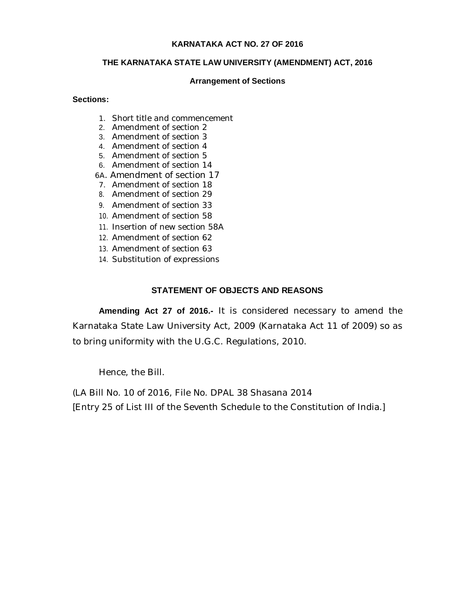### **KARNATAKA ACT NO. 27 OF 2016**

## **THE KARNATAKA STATE LAW UNIVERSITY (AMENDMENT) ACT, 2016**

### **Arrangement of Sections**

### **Sections:**

- 1. Short title and commencement
- 2. Amendment of section 2
- 3. Amendment of section 3
- 4. Amendment of section 4
- 5. Amendment of section 5
- 6. Amendment of section 14
- 6A. Amendment of section 17
- 7. Amendment of section 18 8. Amendment of section 29
- 9. Amendment of section 33
- 10. Amendment of section 58
- 11. Insertion of new section 58A
- 12. Amendment of section 62
- 
- 13. Amendment of section 63
- 14. Substitution of expressions

# **STATEMENT OF OBJECTS AND REASONS**

**Amending Act 27 of 2016.-** It is considered necessary to amend the Karnataka State Law University Act, 2009 (Karnataka Act 11 of 2009) so as to bring uniformity with the U.G.C. Regulations, 2010.

Hence, the Bill.

(LA Bill No. 10 of 2016, File No. DPAL 38 Shasana 2014 [Entry 25 of List III of the Seventh Schedule to the Constitution of India.]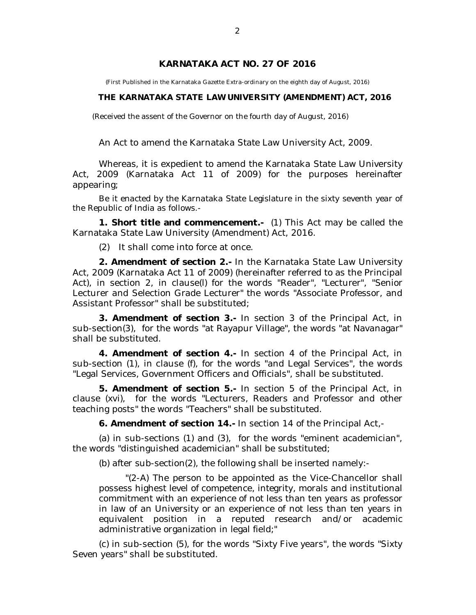# **KARNATAKA ACT NO. 27 OF 2016**

(First Published in the Karnataka Gazette Extra-ordinary on the eighth day of August, 2016)

#### **THE KARNATAKA STATE LAW UNIVERSITY (AMENDMENT) ACT, 2016**

(Received the assent of the Governor on the fourth day of August, 2016)

An Act to amend the Karnataka State Law University Act, 2009.

Whereas, it is expedient to amend the Karnataka State Law University Act, 2009 (Karnataka Act 11 of 2009) for the purposes hereinafter appearing;

Be it enacted by the Karnataka State Legislature in the sixty seventh year of the Republic of India as follows.-

**1. Short title and commencement.-** (1) This Act may be called the Karnataka State Law University (Amendment) Act, 2016.

(2) It shall come into force at once.

**2. Amendment of section 2.-** In the Karnataka State Law University Act, 2009 (Karnataka Act 11 of 2009) (hereinafter referred to as the Principal Act), in section 2, in clause(l) for the words "Reader", "Lecturer", "Senior Lecturer and Selection Grade Lecturer" the words "Associate Professor, and Assistant Professor" shall be substituted;

**3. Amendment of section 3.-** In section 3 of the Principal Act, in sub-section(3), for the words "at Rayapur Village", the words "at Navanagar" shall be substituted.

**4. Amendment of section 4.-** In section 4 of the Principal Act, in sub-section (1), in clause (f), for the words "and Legal Services", the words "Legal Services, Government Officers and Officials", shall be substituted.

**5. Amendment of section 5.-** In section 5 of the Principal Act, in clause (xvi), for the words "Lecturers, Readers and Professor and other teaching posts" the words "Teachers" shall be substituted.

**6. Amendment of section 14.-** In section 14 of the Principal Act,-

(a) in sub-sections (1) and (3), for the words "eminent academician", the words "distinguished academician" shall be substituted;

(b) after sub-section(2), the following shall be inserted namely:-

"(2-A) The person to be appointed as the Vice-Chancellor shall possess highest level of competence, integrity, morals and institutional commitment with an experience of not less than ten years as professor in law of an University or an experience of not less than ten years in equivalent position in a reputed research and/or academic administrative organization in legal field;"

(c) in sub-section (5), for the words "Sixty Five years", the words "Sixty Seven years" shall be substituted.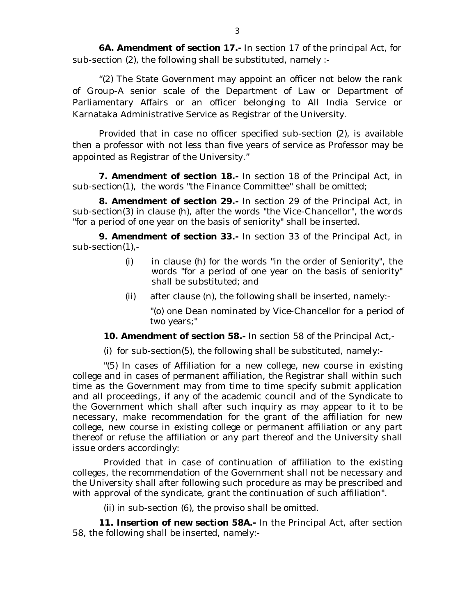**6A. Amendment of section 17.-** In section 17 of the principal Act, for sub-section (2), the following shall be substituted, namely :-

"(2) The State Government may appoint an officer not below the rank of Group-A senior scale of the Department of Law or Department of Parliamentary Affairs or an officer belonging to All India Service or Karnataka Administrative Service as Registrar of the University.

Provided that in case no officer specified sub-section (2), is available then a professor with not less than five years of service as Professor may be appointed as Registrar of the University."

**7. Amendment of section 18.-** In section 18 of the Principal Act, in sub-section(1), the words "the Finance Committee" shall be omitted;

**8. Amendment of section 29.-** In section 29 of the Principal Act, in sub-section(3) in clause (h), after the words "the Vice-Chancellor", the words "for a period of one year on the basis of seniority" shall be inserted.

**9. Amendment of section 33.-** In section 33 of the Principal Act, in sub-section(1),-

- (i) in clause (h) for the words "in the order of Seniority", the words "for a period of one year on the basis of seniority" shall be substituted; and
- (ii) after clause (n), the following shall be inserted, namely:-

"(o) one Dean nominated by Vice-Chancellor for a period of two years;"

**10. Amendment of section 58.-** In section 58 of the Principal Act,-

(i) for sub-section(5), the following shall be substituted, namely:-

"(5) In cases of Affiliation for a new college, new course in existing college and in cases of permanent affiliation, the Registrar shall within such time as the Government may from time to time specify submit application and all proceedings, if any of the academic council and of the Syndicate to the Government which shall after such inquiry as may appear to it to be necessary, make recommendation for the grant of the affiliation for new college, new course in existing college or permanent affiliation or any part thereof or refuse the affiliation or any part thereof and the University shall issue orders accordingly:

Provided that in case of continuation of affiliation to the existing colleges, the recommendation of the Government shall not be necessary and the University shall after following such procedure as may be prescribed and with approval of the syndicate, grant the continuation of such affiliation".

(ii) in sub-section (6), the proviso shall be omitted.

**11. Insertion of new section 58A.-** In the Principal Act, after section 58, the following shall be inserted, namely:-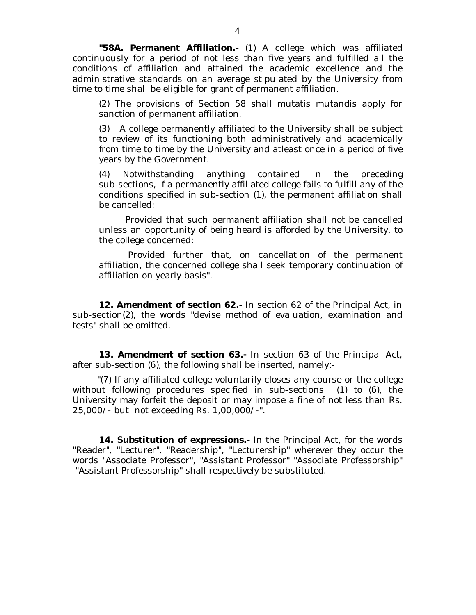**"58A. Permanent Affiliation.-** (1) A college which was affiliated continuously for a period of not less than five years and fulfilled all the conditions of affiliation and attained the academic excellence and the administrative standards on an average stipulated by the University from time to time shall be eligible for grant of permanent affiliation.

(2) The provisions of Section 58 shall mutatis mutandis apply for sanction of permanent affiliation.

(3) A college permanently affiliated to the University shall be subject to review of its functioning both administratively and academically from time to time by the University and atleast once in a period of five years by the Government.

(4) Notwithstanding anything contained in the preceding sub-sections, if a permanently affiliated college fails to fulfill any of the conditions specified in sub-section (1), the permanent affiliation shall be cancelled:

Provided that such permanent affiliation shall not be cancelled unless an opportunity of being heard is afforded by the University, to the college concerned:

Provided further that, on cancellation of the permanent affiliation, the concerned college shall seek temporary continuation of affiliation on yearly basis".

**12. Amendment of section 62.-** In section 62 of the Principal Act, in sub-section(2), the words "devise method of evaluation, examination and tests" shall be omitted.

**13. Amendment of section 63.-** In section 63 of the Principal Act, after sub-section (6), the following shall be inserted, namely:-

 "(7) If any affiliated college voluntarily closes any course or the college without following procedures specified in sub-sections (1) to (6), the University may forfeit the deposit or may impose a fine of not less than Rs. 25,000/- but not exceeding Rs. 1,00,000/-".

**14. Substitution of expressions.-** In the Principal Act, for the words "Reader", "Lecturer", "Readership", "Lecturership" wherever they occur the words "Associate Professor", "Assistant Professor" "Associate Professorship" "Assistant Professorship" shall respectively be substituted.